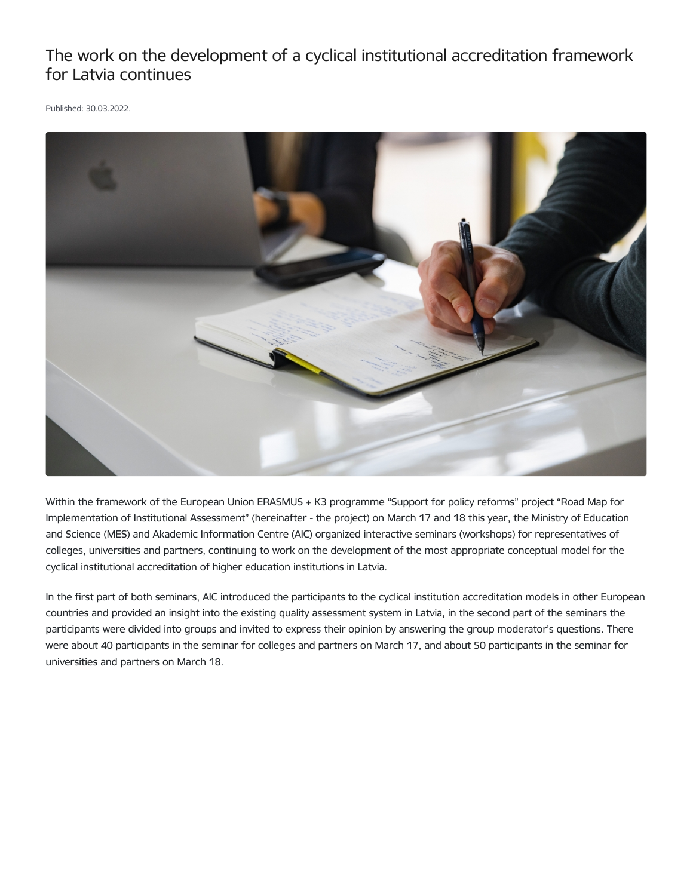## The work on the development of a cyclical institutional accreditation framework for Latvia continues

Published: 30.03.2022.



Within the framework of the European Union ERASMUS + K3 programme "Support for policy reforms" project "Road Map for Implementation of Institutional Assessment" (hereinafter - the project) on March 17 and 18 this year, the Ministry of Education and Science (MES) and Akademic Information Centre (AIC) organized interactive seminars (workshops) for representatives of colleges, universities and partners, continuing to work on the development of the most appropriate conceptual model for the cyclical institutional accreditation of higher education institutions in Latvia.

In the first part of both seminars, AIC introduced the participants to the cyclical institution accreditation models in other European countries and provided an insight into the existing quality assessment system in Latvia, in the second part of the seminars the participants were divided into groups and invited to express their opinion by answering the group moderator's questions. There were about 40 participants in the seminar for colleges and partners on March 17, and about 50 participants in the seminar for universities and partners on March 18.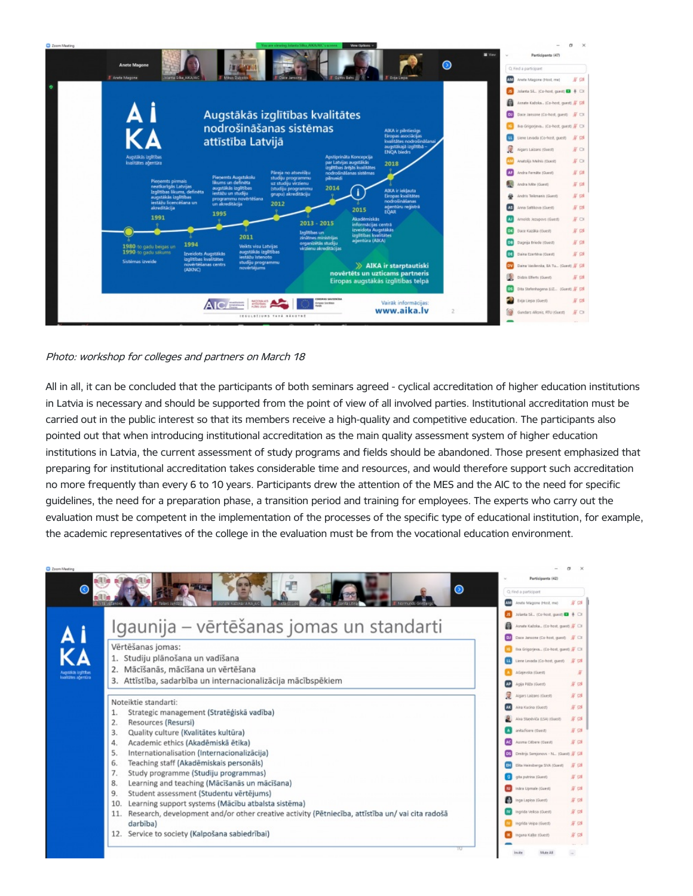

## Photo: workshop for colleges and partners on March 18

All in all, it can be concluded that the participants of both seminars agreed - cyclical accreditation of higher education institutions in Latvia is necessary and should be supported from the point of view of all involved parties. Institutional accreditation must be carried out in the public interest so that its members receive a high-quality and competitive education. The participants also pointed out that when introducing institutional accreditation as the main quality assessment system of higher education institutions in Latvia, the current assessment of study programs and fields should be abandoned. Those present emphasized that preparing for institutional accreditation takes considerable time and resources, and would therefore support such accreditation no more frequently than every 6 to 10 years. Participants drew the attention of the MES and the AIC to the need for specific guidelines, the need for a preparation phase, a transition period and training for employees. The experts who carry out the evaluation must be competent in the implementation of the processes of the specific type of educational institution, for example, the academic representatives of the college in the evaluation must be from the vocational education environment.